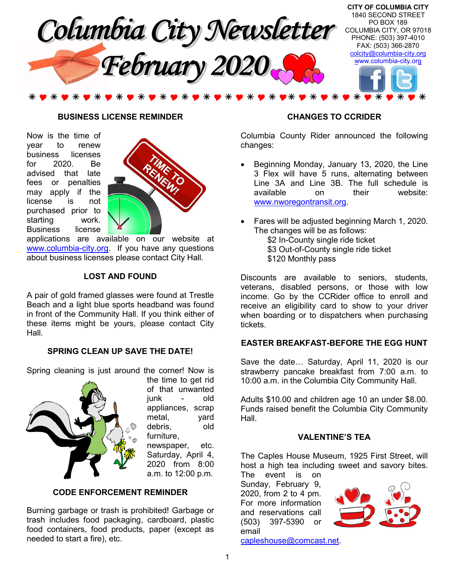

#### **BUSINESS LICENSE REMINDER**

Now is the time of year to renew business licenses for 2020. Be advised that late fees or penalties may apply if the license is not purchased prior to starting work. Business license



applications are available on our website at www.columbia-city.org. If you have any questions about business licenses please contact City Hall.

#### **LOST AND FOUND**

A pair of gold framed glasses were found at Trestle Beach and a light blue sports headband was found in front of the Community Hall. If you think either of these items might be yours, please contact City Hall.

## **SPRING CLEAN UP SAVE THE DATE!**

Spring cleaning is just around the corner! Now is



of that unwanted junk - old appliances, scrap metal, yard debris, old furniture, newspaper, etc. Saturday, April 4, 2020 from 8:00 a.m. to 12:00 p.m.

the time to get rid

#### **CODE ENFORCEMENT REMINDER**

Burning garbage or trash is prohibited! Garbage or trash includes food packaging, cardboard, plastic food containers, food products, paper (except as needed to start a fire), etc.

#### **CHANGES TO CCRIDER**

Columbia County Rider announced the following changes:

- Beginning Monday, January 13, 2020, the Line 3 Flex will have 5 runs, alternating between Line 3A and Line 3B. The full schedule is available on their website: www.nworegontransit.org.
- Fares will be adjusted beginning March 1, 2020. The changes will be as follows: \$2 In-County single ride ticket \$3 Out-of-County single ride ticket \$120 Monthly pass

Discounts are available to seniors, students, veterans, disabled persons, or those with low income. Go by the CCRider office to enroll and receive an eligibility card to show to your driver when boarding or to dispatchers when purchasing tickets.

# **EASTER BREAKFAST-BEFORE THE EGG HUNT**

Save the date… Saturday, April 11, 2020 is our strawberry pancake breakfast from 7:00 a.m. to 10:00 a.m. in the Columbia City Community Hall.

Adults \$10.00 and children age 10 an under \$8.00. Funds raised benefit the Columbia City Community Hall.

# **VALENTINE'S TEA**

The Caples House Museum, 1925 First Street, will host a high tea including sweet and savory bites. The event is on

Sunday, February 9, 2020, from 2 to 4 pm. For more information and reservations call (503) 397-5390 or email



capleshouse@comcast.net.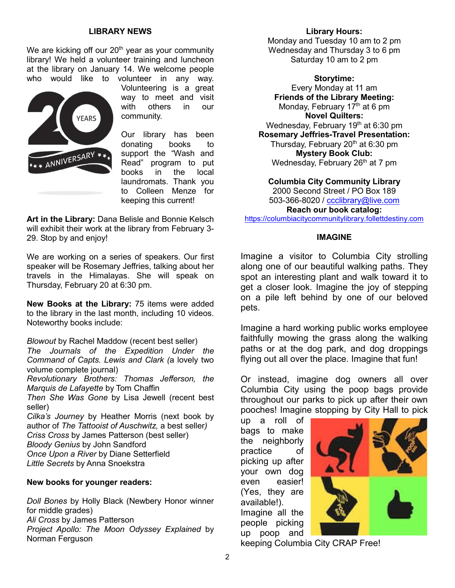# **LIBRARY NEWS**

We are kicking off our  $20<sup>th</sup>$  year as your community library! We held a volunteer training and luncheon at the library on January 14. We welcome people who would like to volunteer in any way.



Volunteering is a great way to meet and visit with others in our community.

Our library has been donating books to support the "Wash and Read" program to put books in the local laundromats. Thank you to Colleen Menze for keeping this current!

**Art in the Library:** Dana Belisle and Bonnie Kelsch will exhibit their work at the library from February 3- 29. Stop by and enjoy!

We are working on a series of speakers. Our first speaker will be Rosemary Jeffries, talking about her travels in the Himalayas. She will speak on Thursday, February 20 at 6:30 pm.

**New Books at the Library:** 75 items were added to the library in the last month, including 10 videos. Noteworthy books include:

*Blowout* by Rachel Maddow (recent best seller) *The Journals of the Expedition Under the Command of Capts. Lewis and Clark (*a lovely two volume complete journal)

*Revolutionary Brothers: Thomas Jefferson, the Marquis de Lafayette* by Tom Chaffin

*Then She Was Gone* by Lisa Jewell (recent best seller)

*Cilka's Journey* by Heather Morris (next book by author of *The Tattooist of Auschwitz,* a best seller*) Criss Cross* by James Patterson (best seller) *Bloody Genius* by John Sandford *Once Upon a River* by Diane Setterfield *Little Secrets* by Anna Snoekstra

#### **New books for younger readers:**

*Doll Bones* by Holly Black (Newbery Honor winner for middle grades) *Ali Cross* by James Patterson *Project Apollo: The Moon Odyssey Explained* by Norman Ferguson

#### **Library Hours:**

Monday and Tuesday 10 am to 2 pm Wednesday and Thursday 3 to 6 pm Saturday 10 am to 2 pm

**Storytime:**

Every Monday at 11 am **Friends of the Library Meeting:** Monday, February  $17<sup>th</sup>$  at 6 pm **Novel Quilters:** Wednesday, February 19<sup>th</sup> at 6:30 pm **Rosemary Jeffries-Travel Presentation:** Thursday, February  $20<sup>th</sup>$  at 6:30 pm **Mystery Book Club:** Wednesday, February  $26<sup>th</sup>$  at 7 pm

**Columbia City Community Library** 2000 Second Street / PO Box 189 503-366-8020 / ccclibrary@live.com

**Reach our book catalog:**

https://columbiacitycommunitylibrary.follettdestiny.com

# **IMAGINE**

Imagine a visitor to Columbia City strolling along one of our beautiful walking paths. They spot an interesting plant and walk toward it to get a closer look. Imagine the joy of stepping on a pile left behind by one of our beloved pets.

Imagine a hard working public works employee faithfully mowing the grass along the walking paths or at the dog park, and dog droppings flying out all over the place. Imagine that fun!

Or instead, imagine dog owners all over Columbia City using the poop bags provide throughout our parks to pick up after their own pooches! Imagine stopping by City Hall to pick

up a roll of bags to make the neighborly practice of picking up after your own dog even easier! (Yes, they are available!). Imagine all the people picking up poop and



keeping Columbia City CRAP Free!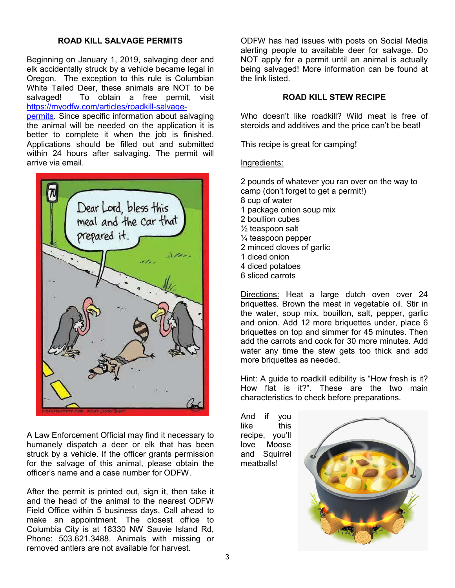# **ROAD KILL SALVAGE PERMITS**

Beginning on January 1, 2019, salvaging deer and elk accidentally struck by a vehicle became legal in Oregon. The exception to this rule is Columbian White Tailed Deer, these animals are NOT to be salvaged! To obtain a free permit, visit https://myodfw.com/articles/roadkill-salvagepermits. Since specific information about salvaging the animal will be needed on the application it is

better to complete it when the job is finished. Applications should be filled out and submitted within 24 hours after salvaging. The permit will arrive via email.



A Law Enforcement Official may find it necessary to humanely dispatch a deer or elk that has been struck by a vehicle. If the officer grants permission for the salvage of this animal, please obtain the officer's name and a case number for ODFW.

After the permit is printed out, sign it, then take it and the head of the animal to the nearest ODFW Field Office within 5 business days. Call ahead to make an appointment. The closest office to Columbia City is at 18330 NW Sauvie Island Rd, Phone: 503.621.3488. Animals with missing or removed antlers are not available for harvest.

ODFW has had issues with posts on Social Media alerting people to available deer for salvage. Do NOT apply for a permit until an animal is actually being salvaged! More information can be found at the link listed.

# **ROAD KILL STEW RECIPE**

Who doesn't like roadkill? Wild meat is free of steroids and additives and the price can't be beat!

This recipe is great for camping!

#### Ingredients:

2 pounds of whatever you ran over on the way to camp (don't forget to get a permit!) 8 cup of water 1 package onion soup mix 2 boullion cubes ½ teaspoon salt ¼ teaspoon pepper 2 minced cloves of garlic 1 diced onion 4 diced potatoes 6 sliced carrots

Directions: Heat a large dutch oven over 24 briquettes. Brown the meat in vegetable oil. Stir in the water, soup mix, bouillon, salt, pepper, garlic and onion. Add 12 more briquettes under, place 6 briquettes on top and simmer for 45 minutes. Then add the carrots and cook for 30 more minutes. Add water any time the stew gets too thick and add more briquettes as needed.

Hint: A guide to roadkill edibility is "How fresh is it? How flat is it?". These are the two main characteristics to check before preparations.

And if you like this recipe, you'll love Moose and Squirrel meatballs!